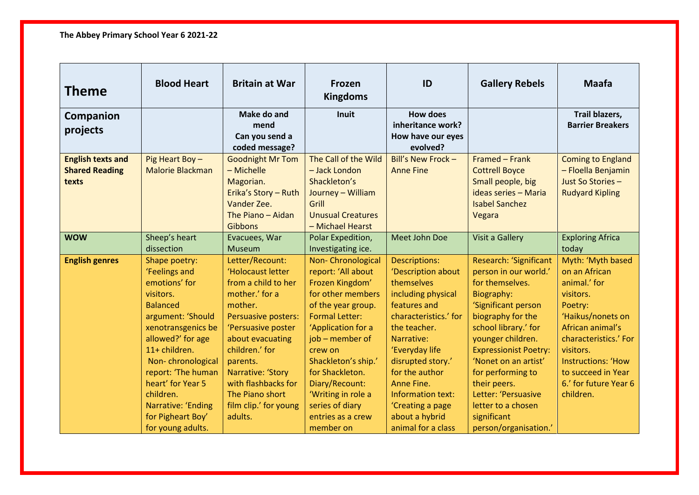| Theme                                                      | <b>Blood Heart</b>                                                                                                                                                                                                                                                                                            | <b>Britain at War</b>                                                                                                                                                                                                                                                                      | Frozen<br><b>Kingdoms</b>                                                                                                                                                                                                                                                                                                 | ID                                                                                                                                                                                                                                                                                                            | <b>Gallery Rebels</b>                                                                                                                                                                                                                                                                                                                                       | <b>Maafa</b>                                                                                                                                                                                                                                       |
|------------------------------------------------------------|---------------------------------------------------------------------------------------------------------------------------------------------------------------------------------------------------------------------------------------------------------------------------------------------------------------|--------------------------------------------------------------------------------------------------------------------------------------------------------------------------------------------------------------------------------------------------------------------------------------------|---------------------------------------------------------------------------------------------------------------------------------------------------------------------------------------------------------------------------------------------------------------------------------------------------------------------------|---------------------------------------------------------------------------------------------------------------------------------------------------------------------------------------------------------------------------------------------------------------------------------------------------------------|-------------------------------------------------------------------------------------------------------------------------------------------------------------------------------------------------------------------------------------------------------------------------------------------------------------------------------------------------------------|----------------------------------------------------------------------------------------------------------------------------------------------------------------------------------------------------------------------------------------------------|
| Companion                                                  |                                                                                                                                                                                                                                                                                                               | Make do and<br>mend                                                                                                                                                                                                                                                                        | <b>Inuit</b>                                                                                                                                                                                                                                                                                                              | <b>How does</b><br>inheritance work?                                                                                                                                                                                                                                                                          |                                                                                                                                                                                                                                                                                                                                                             | Trail blazers,<br><b>Barrier Breakers</b>                                                                                                                                                                                                          |
| projects                                                   |                                                                                                                                                                                                                                                                                                               | Can you send a<br>coded message?                                                                                                                                                                                                                                                           |                                                                                                                                                                                                                                                                                                                           | How have our eyes<br>evolved?                                                                                                                                                                                                                                                                                 |                                                                                                                                                                                                                                                                                                                                                             |                                                                                                                                                                                                                                                    |
| <b>English texts and</b><br><b>Shared Reading</b><br>texts | Pig Heart Boy-<br><b>Malorie Blackman</b>                                                                                                                                                                                                                                                                     | <b>Goodnight Mr Tom</b><br>- Michelle<br>Magorian.<br>Erika's Story - Ruth<br>Vander Zee.<br>The Piano - Aidan                                                                                                                                                                             | The Call of the Wild<br>- Jack London<br>Shackleton's<br>Journey - William<br>Grill<br><b>Unusual Creatures</b>                                                                                                                                                                                                           | Bill's New Frock -<br><b>Anne Fine</b>                                                                                                                                                                                                                                                                        | Framed - Frank<br><b>Cottrell Boyce</b><br>Small people, big<br>ideas series - Maria<br><b>Isabel Sanchez</b><br>Vegara                                                                                                                                                                                                                                     | <b>Coming to England</b><br>- Floella Benjamin<br>Just So Stories -<br><b>Rudyard Kipling</b>                                                                                                                                                      |
| <b>WOW</b>                                                 | Sheep's heart<br>dissection                                                                                                                                                                                                                                                                                   | <b>Gibbons</b><br>Evacuees, War<br>Museum                                                                                                                                                                                                                                                  | - Michael Hearst<br>Polar Expedition,<br>Investigating ice.                                                                                                                                                                                                                                                               | <b>Meet John Doe</b>                                                                                                                                                                                                                                                                                          | <b>Visit a Gallery</b>                                                                                                                                                                                                                                                                                                                                      | <b>Exploring Africa</b><br>today                                                                                                                                                                                                                   |
| <b>English genres</b>                                      | Shape poetry:<br>'Feelings and<br>emotions' for<br>visitors.<br><b>Balanced</b><br>argument: 'Should<br>xenotransgenics be<br>allowed?' for age<br>11+ children.<br>Non-chronological<br>report: 'The human<br>heart' for Year 5<br>children.<br>Narrative: 'Ending<br>for Pigheart Boy'<br>for young adults. | Letter/Recount:<br>'Holocaust letter<br>from a child to her<br>mother.' for a<br>mother.<br>Persuasive posters:<br>'Persuasive poster<br>about evacuating<br>children.' for<br>parents.<br>Narrative: 'Story<br>with flashbacks for<br>The Piano short<br>film clip.' for young<br>adults. | Non-Chronological<br>report: 'All about<br>Frozen Kingdom'<br>for other members<br>of the year group.<br><b>Formal Letter:</b><br>'Application for a<br>job – member of<br>crew on<br>Shackleton's ship.'<br>for Shackleton.<br>Diary/Recount:<br>'Writing in role a<br>series of diary<br>entries as a crew<br>member on | <b>Descriptions:</b><br>'Description about<br>themselves<br>including physical<br>features and<br>characteristics.' for<br>the teacher.<br>Narrative:<br>'Everyday life<br>disrupted story.'<br>for the author<br>Anne Fine.<br>Information text:<br>'Creating a page<br>about a hybrid<br>animal for a class | Research: 'Significant<br>person in our world.'<br>for themselves.<br>Biography:<br>'Significant person<br>biography for the<br>school library.' for<br>younger children.<br><b>Expressionist Poetry:</b><br>'Nonet on an artist'<br>for performing to<br>their peers.<br>Letter: 'Persuasive<br>letter to a chosen<br>significant<br>person/organisation.' | Myth: 'Myth based<br>on an African<br>animal.' for<br>visitors.<br>Poetry:<br>'Haikus/nonets on<br>African animal's<br>characteristics.' For<br>visitors.<br><b>Instructions: 'How</b><br>to succeed in Year<br>6.' for future Year 6<br>children. |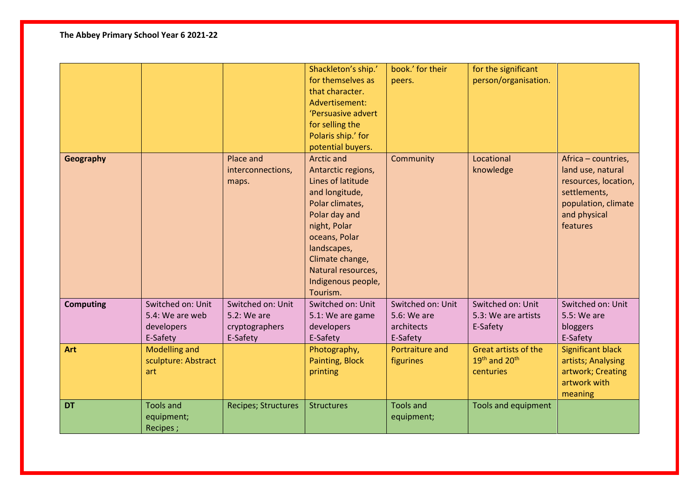## **The Abbey Primary School Year 6 2021-22**

|                  |                      |                            | Shackleton's ship.' | book.' for their  | for the significant                   |                          |
|------------------|----------------------|----------------------------|---------------------|-------------------|---------------------------------------|--------------------------|
|                  |                      |                            | for themselves as   | peers.            | person/organisation.                  |                          |
|                  |                      |                            | that character.     |                   |                                       |                          |
|                  |                      |                            | Advertisement:      |                   |                                       |                          |
|                  |                      |                            | 'Persuasive advert  |                   |                                       |                          |
|                  |                      |                            | for selling the     |                   |                                       |                          |
|                  |                      |                            | Polaris ship.' for  |                   |                                       |                          |
|                  |                      |                            | potential buyers.   |                   |                                       |                          |
| <b>Geography</b> |                      | Place and                  | <b>Arctic and</b>   | Community         | Locational                            | Africa - countries,      |
|                  |                      | interconnections,          | Antarctic regions,  |                   | knowledge                             | land use, natural        |
|                  |                      | maps.                      | Lines of latitude   |                   |                                       | resources, location,     |
|                  |                      |                            | and longitude,      |                   |                                       | settlements,             |
|                  |                      |                            | Polar climates,     |                   |                                       | population, climate      |
|                  |                      |                            | Polar day and       |                   |                                       | and physical             |
|                  |                      |                            | night, Polar        |                   |                                       | features                 |
|                  |                      |                            | oceans, Polar       |                   |                                       |                          |
|                  |                      |                            | landscapes,         |                   |                                       |                          |
|                  |                      |                            | Climate change,     |                   |                                       |                          |
|                  |                      |                            | Natural resources,  |                   |                                       |                          |
|                  |                      |                            | Indigenous people,  |                   |                                       |                          |
|                  |                      |                            | Tourism.            |                   |                                       |                          |
| <b>Computing</b> | Switched on: Unit    | Switched on: Unit          | Switched on: Unit   | Switched on: Unit | Switched on: Unit                     | Switched on: Unit        |
|                  | 5.4: We are web      | 5.2: We are                | 5.1: We are game    | 5.6: We are       | 5.3: We are artists                   | 5.5: We are              |
|                  | developers           | cryptographers             | developers          | architects        | E-Safety                              | bloggers                 |
|                  | E-Safety             | E-Safety                   | E-Safety            | E-Safety          |                                       | E-Safety                 |
| <b>Art</b>       | <b>Modelling and</b> |                            | Photography,        | Portraiture and   | Great artists of the                  | <b>Significant black</b> |
|                  | sculpture: Abstract  |                            | Painting, Block     | figurines         | 19 <sup>th</sup> and 20 <sup>th</sup> | artists; Analysing       |
|                  | art                  |                            | printing            |                   | centuries                             | artwork; Creating        |
|                  |                      |                            |                     |                   |                                       | artwork with             |
|                  |                      |                            |                     |                   |                                       | meaning                  |
| <b>DT</b>        | <b>Tools and</b>     | <b>Recipes; Structures</b> | <b>Structures</b>   | <b>Tools and</b>  | <b>Tools and equipment</b>            |                          |
|                  | equipment;           |                            |                     | equipment;        |                                       |                          |
|                  | Recipes;             |                            |                     |                   |                                       |                          |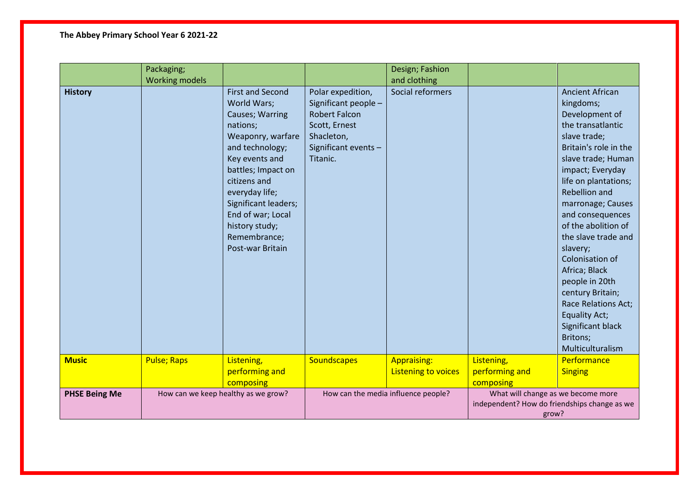## **The Abbey Primary School Year 6 2021-22**

|                      | Packaging;<br><b>Working models</b> |                                                                                                                                                                                                                                                                                            |                                                                                                                                      | Design; Fashion<br>and clothing                  |                                                                                             |                                                                                                                                                                                                                                                                                                                                                                                                                                                                                                |
|----------------------|-------------------------------------|--------------------------------------------------------------------------------------------------------------------------------------------------------------------------------------------------------------------------------------------------------------------------------------------|--------------------------------------------------------------------------------------------------------------------------------------|--------------------------------------------------|---------------------------------------------------------------------------------------------|------------------------------------------------------------------------------------------------------------------------------------------------------------------------------------------------------------------------------------------------------------------------------------------------------------------------------------------------------------------------------------------------------------------------------------------------------------------------------------------------|
| <b>History</b>       |                                     | <b>First and Second</b><br>World Wars;<br>Causes; Warring<br>nations;<br>Weaponry, warfare<br>and technology;<br>Key events and<br>battles; Impact on<br>citizens and<br>everyday life;<br>Significant leaders;<br>End of war; Local<br>history study;<br>Remembrance;<br>Post-war Britain | Polar expedition,<br>Significant people -<br><b>Robert Falcon</b><br>Scott, Ernest<br>Shacleton,<br>Significant events -<br>Titanic. | Social reformers                                 |                                                                                             | <b>Ancient African</b><br>kingdoms;<br>Development of<br>the transatlantic<br>slave trade;<br>Britain's role in the<br>slave trade; Human<br>impact; Everyday<br>life on plantations;<br>Rebellion and<br>marronage; Causes<br>and consequences<br>of the abolition of<br>the slave trade and<br>slavery;<br>Colonisation of<br>Africa; Black<br>people in 20th<br>century Britain;<br><b>Race Relations Act;</b><br><b>Equality Act;</b><br>Significant black<br>Britons;<br>Multiculturalism |
| <b>Music</b>         | <b>Pulse; Raps</b>                  | Listening,<br>performing and<br>composing                                                                                                                                                                                                                                                  | Soundscapes                                                                                                                          | <b>Appraising:</b><br><b>Listening to voices</b> | Listening,<br>performing and<br>composing                                                   | Performance<br><b>Singing</b>                                                                                                                                                                                                                                                                                                                                                                                                                                                                  |
| <b>PHSE Being Me</b> |                                     | How can we keep healthy as we grow?                                                                                                                                                                                                                                                        |                                                                                                                                      | How can the media influence people?              | What will change as we become more<br>independent? How do friendships change as we<br>grow? |                                                                                                                                                                                                                                                                                                                                                                                                                                                                                                |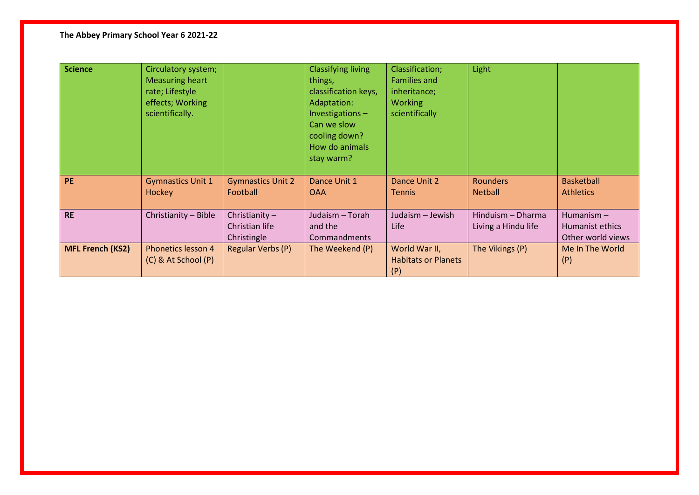## **The Abbey Primary School Year 6 2021-22**

| <b>Science</b>          | Circulatory system;<br><b>Measuring heart</b><br>rate; Lifestyle<br>effects; Working<br>scientifically. |                                                   | <b>Classifying living</b><br>things,<br>classification keys,<br>Adaptation:<br>Investigations-<br>Can we slow<br>cooling down?<br>How do animals<br>stay warm? | Classification;<br><b>Families and</b><br>inheritance;<br><b>Working</b><br>scientifically | Light                                    |                                                      |
|-------------------------|---------------------------------------------------------------------------------------------------------|---------------------------------------------------|----------------------------------------------------------------------------------------------------------------------------------------------------------------|--------------------------------------------------------------------------------------------|------------------------------------------|------------------------------------------------------|
| <b>PE</b>               | <b>Gymnastics Unit 1</b><br>Hockey                                                                      | <b>Gymnastics Unit 2</b><br>Football              | Dance Unit 1<br><b>OAA</b>                                                                                                                                     | Dance Unit 2<br><b>Tennis</b>                                                              | <b>Rounders</b><br><b>Netball</b>        | <b>Basketball</b><br><b>Athletics</b>                |
| <b>RE</b>               | Christianity - Bible                                                                                    | Christianity $-$<br>Christian life<br>Christingle | Judaism - Torah<br>and the<br>Commandments                                                                                                                     | Judaism - Jewish<br>Life                                                                   | Hinduism - Dharma<br>Living a Hindu life | Humanism $-$<br>Humanist ethics<br>Other world views |
| <b>MFL French (KS2)</b> | Phonetics lesson 4<br>(C) & At School (P)                                                               | Regular Verbs (P)                                 | The Weekend (P)                                                                                                                                                | World War II,<br><b>Habitats or Planets</b><br>(P)                                         | The Vikings (P)                          | Me In The World<br>(P)                               |